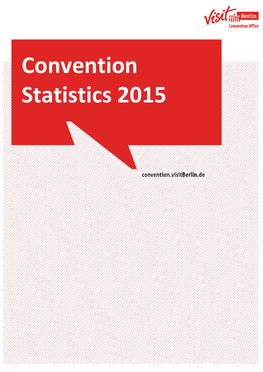

# **Convention Statistics 2015**

**2015**

convention visitBerlin.de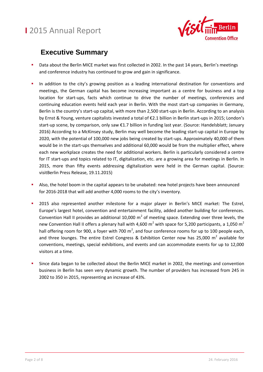

### **Executive Summary**

- Data about the Berlin MICE market was first collected in 2002. In the past 14 years, Berlin's meetings and conference industry has continued to grow and gain in significance.
- In addition to the city's growing position as a leading international destination for conventions and meetings, the German capital has become increasing important as a centre for business and a top location for start-ups, facts which continue to drive the number of meetings, conferences and continuing education events held each year in Berlin. With the most start-up companies in Germany, Berlin is the country's start-up capital, with more than 2,500 start-ups in Berlin. According to an analysis by Ernst & Young, venture capitalists invested a total of €2.1 billion in Berlin start-ups in 2015; London's start-up scene, by comparison, only saw €1.7 billion in funding last year. (Source: Handelsblatt; January 2016) According to a McKinsey study, Berlin may well become the leading start-up capital in Europe by 2020, with the potential of 100,000 new jobs being created by start-ups. Approximately 40,000 of them would be in the start-ups themselves and additional 60,000 would be from the multiplier effect, where each new workplace creates the need for additional workers. Berlin is particularly considered a centre for IT start-ups and topics related to IT, digitalization, etc. are a growing area for meetings in Berlin. In 2015, more than fifty events addressing digitalization were held in the German capital. (Source: visitBerlin Press Release, 19.11.2015)
- Also, the hotel boom in the capital appears to be unabated: new hotel projects have been announced for 2016-2018 that will add another 4,000 rooms to the city's inventory.
- **2015** also represented another milestone for a major player in Berlin's MICE market: The Estrel, Europe's largest hotel, convention and entertainment facility, added another building for conferences. Convention Hall II provides an additional 10,000  $m^2$  of meeting space. Extending over three levels, the new Convention Hall II offers a plenary hall with 4,600  $m^2$  with space for 5,200 participants, a 1,050  $m^2$ hall offering room for 900, a foyer with 700 m<sup>2</sup>, and four conference rooms for up to 100 people each, and three lounges. The entire Estrel Congress & Exhibition Center now has 25,000  $m^2$  available for conventions, meetings, special exhibitions, and events and can accommodate events for up to 12,000 visitors at a time.
- Since data began to be collected about the Berlin MICE market in 2002, the meetings and convention business in Berlin has seen very dynamic growth. The number of providers has increased from 245 in 2002 to 350 in 2015, representing an increase of 43%.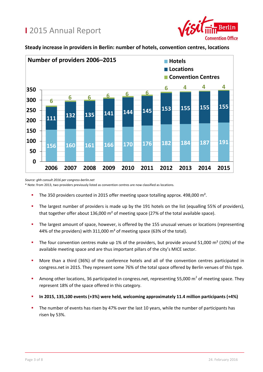

#### **Steady increase in providers in Berlin: number of hotels, convention centres, locations**



*Source: ghh consult 2016 per congress-berlin.net*

\* Note: from 2013, two providers previously listed as convention centres are now classified as locations.

- The 350 providers counted in 2015 offer meeting space totalling approx. 498,000 m².
- The largest number of providers is made up by the 191 hotels on the list (equalling 55% of providers), that together offer about 136,000 m² of meeting space (27% of the total available space).
- The largest amount of space, however, is offered by the 155 unusual venues or locations (representing 44% of the providers) with 311,000 m² of meeting space (63% of the total).
- The four convention centres make up 1% of the providers, but provide around 51,000  $m^2$  (10%) of the available meeting space and are thus important pillars of the city's MICE sector.
- More than a third (36%) of the conference hotels and all of the convention centres participated in congress.net in 2015. They represent some 76% of the total space offered by Berlin venues of this type.
- Among other locations, 36 participated in congress.net, representing 55,000  $m^2$  of meeting space. They represent 18% of the space offered in this category.
- **In 2015, 135,100 events (+3%) were held, welcoming approximately 11.4 million participants (+4%)**
- The number of events has risen by 47% over the last 10 years, while the number of participants has risen by 53%.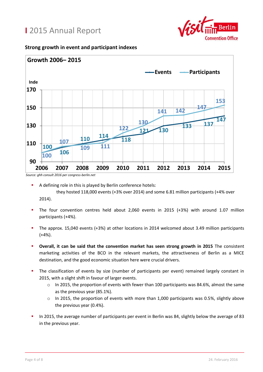

#### **Strong growth in event and participant indexes**



*Source: ghh consult 2016 per congress-berlin.net*

they hosted 118,000 events (+3% over 2014) and some 6.81 million participants (+4% over 2014).

- The four convention centres held about 2,060 events in 2015 (+3%) with around 1.07 million participants (+4%).
- The approx. 15,040 events (+3%) at other locations in 2014 welcomed about 3.49 million participants  $(+4%)$ .
- **Overall, it can be said that the convention market has seen strong growth in 2015** The consistent marketing activities of the BCO in the relevant markets, the attractiveness of Berlin as a MICE destination, and the good economic situation here were crucial drivers.
- The classification of events by size (number of participants per event) remained largely constant in 2015, with a slight shift in favour of larger events.
	- o In 2015, the proportion of events with fewer than 100 participants was 84.6%, almost the same as the previous year (85.1%).
	- o In 2015, the proportion of events with more than 1,000 participants was 0.5%, slightly above the previous year (0.4%).
- In 2015, the average number of participants per event in Berlin was 84, slightly below the average of 83 in the previous year.

A defining role in this is played by Berlin conference hotels: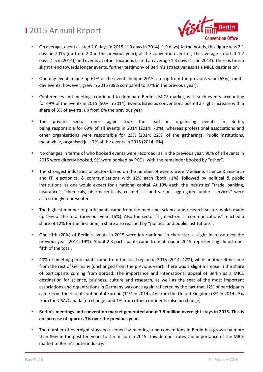

- On average, events lasted 2.0 days in 2015 (1.9 days in 2014). 1.9 days) At the hotels, this figure was 2.1 days in 2015 (up from 2.0 in the previous year); at the convention centres, the average stood at 1.7 days (1.5 in 2014); and events at other locations lasted an average 1.3 days (1.2 in 2014). There is thus a slight trend towards longer events, further testimony of Berlin's attractiveness as a MICE destination.
- One-day events made up 61% of the events held in 2015, a drop from the previous year (63%); multiday events, however, grew in 2015 (39% compared to 37% in the previous year).
- Conferences and meetings continued to dominate Berlin's MICE market, with such events accounting for 49% of the events in 2015 (50% in 2014), Events listed as conventions posted a slight increase with a share of 8% of events, up from 6% the previous year.
- The private sector once again took the lead in organising events in Berlin, being responsible for 69% of all events in 2014 (2014: 70%); whereas professional associations and other organisations were responsible for 23% (2014: 22%) of the gatherings. Public institutions, meanwhile, organised just 7% of the events in 2015 (2014: 6%).
- No changes in terms of who booked events were recorded: as in the previous year, 90% of all events in 2015 were directly booked, 9% were booked by PCOs, with the remainder booked by "other".
- The strongest industries or sectors based on the number of events were Medicine, science & research and IT, electronics, & communications with 12% each (both +1%), followed by political & public institutions, as one would expect for a national capital. At 10% each, the industries' "trade, banking, insurance", "chemicals, pharmaceuticals, cosmetics", and various aggregated under "services" were also strongly represented.
- The highest number of participants came from the medicine, science and research sector, which made up 16% of the total (previous year: 15%). Also the sector "IT, electronics, communications" reached a share of 12% for the first time, a share also reached by "political and public institutions".
- One fifth (20%) of Berlin's events in 2015 were international in character, a slight increase over the previous year (2014: 19%). About 2.3 participants came from abroad in 2015, representing almost onefifth of the total.
- 40% of meeting participants came from the local region in 2015 (2014: 42%), while another 40% came from the rest of Germany (unchanged from the previous year). There was a slight increase in the share of participants coming from abroad: The importance and international appeal of Berlin as a MICE destination for science, business, culture and research, as well as the seat of the most important associations and organizations in Germany was once again reflected by the fact that 12% of participants came from the rest of continental Europe (11% in 2014), 4% from the United Kingdom (3% in 2014), 3% from the USA/Canada (no change) and 1% from other continents (also no change).
- **Berlin's meetings and convention market generated about 7.5 million overnight stays in 2015. This is an increase of approx. 7% over the previous year.**
- The number of overnight stays occasioned by meetings and conventions in Berlin has grown by more than 86% in the past ten years to 7.5 million in 2015. This demonstrates the importance of the MICE market to Berlin's hotel industry.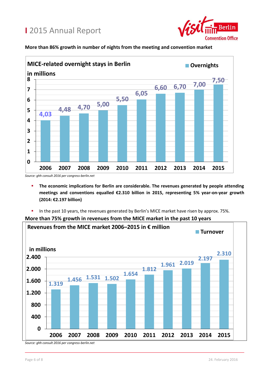

#### **More than 86% growth in number of nights from the meeting and convention market**



- **The economic implications for Berlin are considerable. The revenues generated by people attending meetings and conventions equalled €2.310 billion in 2015, representing 5% year-on-year growth (2014: €2.197 billion)**
- In the past 10 years, the revenues generated by Berlin's MICE market have risen by approx. 75%.



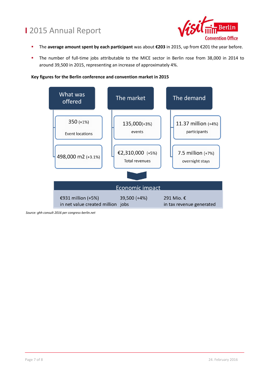

- The **average amount spent by each participant** was about **€203** in 2015, up from €201 the year before.
- The number of full-time jobs attributable to the MICE sector in Berlin rose from 38,000 in 2014 to around 39,500 in 2015, representing an increase of approximately 4%.

**Key figures for the Berlin conference and convention market in 2015**



*Source: ghh consult 2016 per congress-berlin.net*